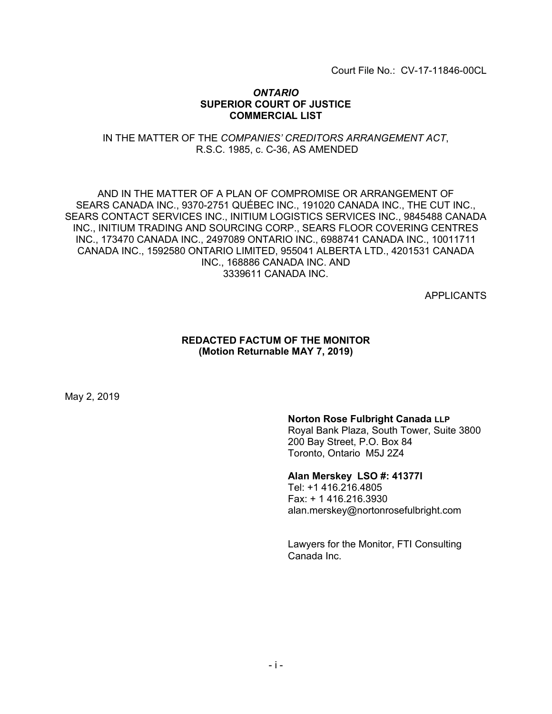Court File No.: CV-17-11846-00CL

#### *ONTARIO* **SUPERIOR COURT OF JUSTICE COMMERCIAL LIST**

## IN THE MATTER OF THE *COMPANIES' CREDITORS ARRANGEMENT ACT*, R.S.C. 1985, c. C-36, AS AMENDED

## AND IN THE MATTER OF A PLAN OF COMPROMISE OR ARRANGEMENT OF SEARS CANADA INC., 9370-2751 QUÉBEC INC., 191020 CANADA INC., THE CUT INC., SEARS CONTACT SERVICES INC., INITIUM LOGISTICS SERVICES INC., 9845488 CANADA INC., INITIUM TRADING AND SOURCING CORP., SEARS FLOOR COVERING CENTRES INC., 173470 CANADA INC., 2497089 ONTARIO INC., 6988741 CANADA INC., 10011711 CANADA INC., 1592580 ONTARIO LIMITED, 955041 ALBERTA LTD., 4201531 CANADA INC., 168886 CANADA INC. AND 3339611 CANADA INC.

APPLICANTS

## **REDACTED FACTUM OF THE MONITOR (Motion Returnable MAY 7, 2019)**

May 2, 2019

## **Norton Rose Fulbright Canada LLP**

Royal Bank Plaza, South Tower, Suite 3800 200 Bay Street, P.O. Box 84 Toronto, Ontario M5J 2Z4

## **Alan Merskey LSO #: 41377I**

Tel: +1 416.216.4805 Fax: + 1 416.216.3930 alan.merskey@nortonrosefulbright.com

Lawyers for the Monitor, FTI Consulting Canada Inc.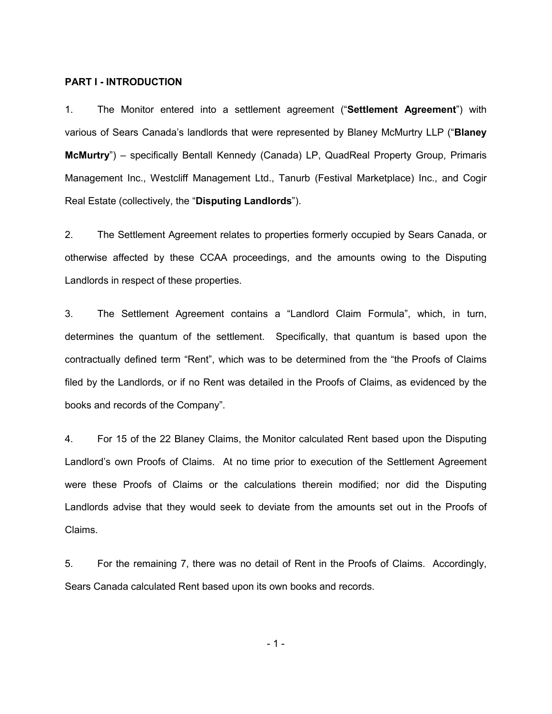#### **PART I - INTRODUCTION**

1. The Monitor entered into a settlement agreement ("**Settlement Agreement**") with various of Sears Canada's landlords that were represented by Blaney McMurtry LLP ("**Blaney McMurtry**") – specifically Bentall Kennedy (Canada) LP, QuadReal Property Group, Primaris Management Inc., Westcliff Management Ltd., Tanurb (Festival Marketplace) Inc., and Cogir Real Estate (collectively, the "**Disputing Landlords**").

2. The Settlement Agreement relates to properties formerly occupied by Sears Canada, or otherwise affected by these CCAA proceedings, and the amounts owing to the Disputing Landlords in respect of these properties.

3. The Settlement Agreement contains a "Landlord Claim Formula", which, in turn, determines the quantum of the settlement. Specifically, that quantum is based upon the contractually defined term "Rent", which was to be determined from the "the Proofs of Claims filed by the Landlords, or if no Rent was detailed in the Proofs of Claims, as evidenced by the books and records of the Company".

4. For 15 of the 22 Blaney Claims, the Monitor calculated Rent based upon the Disputing Landlord's own Proofs of Claims. At no time prior to execution of the Settlement Agreement were these Proofs of Claims or the calculations therein modified; nor did the Disputing Landlords advise that they would seek to deviate from the amounts set out in the Proofs of Claims.

5. For the remaining 7, there was no detail of Rent in the Proofs of Claims. Accordingly, Sears Canada calculated Rent based upon its own books and records.

- 1 -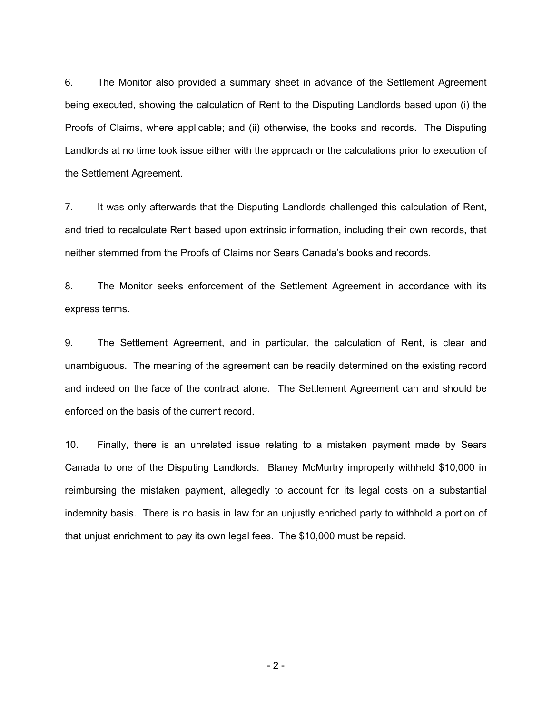6. The Monitor also provided a summary sheet in advance of the Settlement Agreement being executed, showing the calculation of Rent to the Disputing Landlords based upon (i) the Proofs of Claims, where applicable; and (ii) otherwise, the books and records. The Disputing Landlords at no time took issue either with the approach or the calculations prior to execution of the Settlement Agreement.

7. It was only afterwards that the Disputing Landlords challenged this calculation of Rent, and tried to recalculate Rent based upon extrinsic information, including their own records, that neither stemmed from the Proofs of Claims nor Sears Canada's books and records.

8. The Monitor seeks enforcement of the Settlement Agreement in accordance with its express terms.

9. The Settlement Agreement, and in particular, the calculation of Rent, is clear and unambiguous. The meaning of the agreement can be readily determined on the existing record and indeed on the face of the contract alone. The Settlement Agreement can and should be enforced on the basis of the current record.

10. Finally, there is an unrelated issue relating to a mistaken payment made by Sears Canada to one of the Disputing Landlords. Blaney McMurtry improperly withheld \$10,000 in reimbursing the mistaken payment, allegedly to account for its legal costs on a substantial indemnity basis. There is no basis in law for an unjustly enriched party to withhold a portion of that unjust enrichment to pay its own legal fees. The \$10,000 must be repaid.

 $-2-$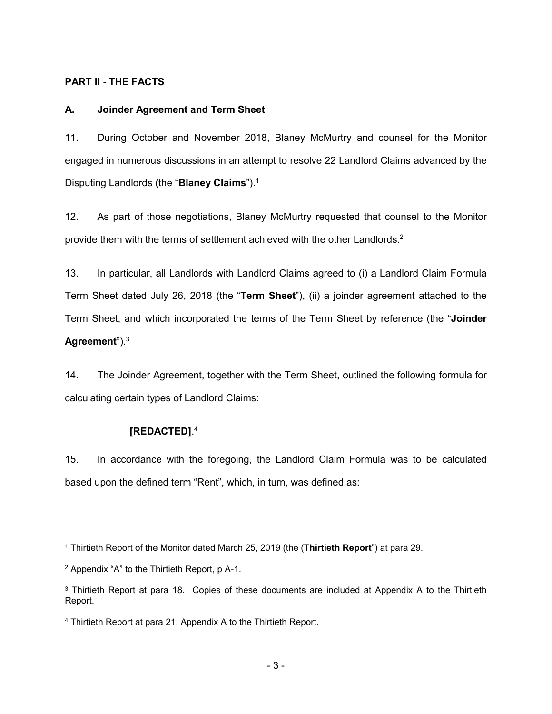## **PART II - THE FACTS**

#### **A. Joinder Agreement and Term Sheet**

11. During October and November 2018, Blaney McMurtry and counsel for the Monitor engaged in numerous discussions in an attempt to resolve 22 Landlord Claims advanced by the Disputing Landlords (the "**Blaney Claims**").<sup>1</sup>

12. As part of those negotiations, Blaney McMurtry requested that counsel to the Monitor provide them with the terms of settlement achieved with the other Landlords.<sup>2</sup>

13. In particular, all Landlords with Landlord Claims agreed to (i) a Landlord Claim Formula Term Sheet dated July 26, 2018 (the "**Term Sheet**"), (ii) a joinder agreement attached to the Term Sheet, and which incorporated the terms of the Term Sheet by reference (the "**Joinder Agreement**").<sup>3</sup>

14. The Joinder Agreement, together with the Term Sheet, outlined the following formula for calculating certain types of Landlord Claims:

#### **[REDACTED]**. 4

15. In accordance with the foregoing, the Landlord Claim Formula was to be calculated based upon the defined term "Rent", which, in turn, was defined as:

<sup>1</sup> Thirtieth Report of the Monitor dated March 25, 2019 (the (**Thirtieth Report**") at para 29.

<sup>2</sup> Appendix "A" to the Thirtieth Report, p A-1.

<sup>&</sup>lt;sup>3</sup> Thirtieth Report at para 18. Copies of these documents are included at Appendix A to the Thirtieth Report.

<sup>4</sup> Thirtieth Report at para 21; Appendix A to the Thirtieth Report.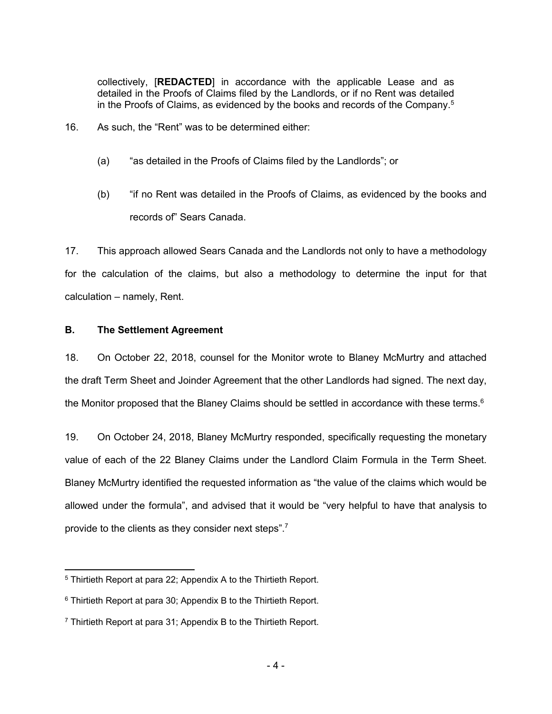collectively, [**REDACTED**] in accordance with the applicable Lease and as detailed in the Proofs of Claims filed by the Landlords, or if no Rent was detailed in the Proofs of Claims, as evidenced by the books and records of the Company.<sup>5</sup>

- 16. As such, the "Rent" was to be determined either:
	- (a) "as detailed in the Proofs of Claims filed by the Landlords"; or
	- (b) "if no Rent was detailed in the Proofs of Claims, as evidenced by the books and records of" Sears Canada.

17. This approach allowed Sears Canada and the Landlords not only to have a methodology for the calculation of the claims, but also a methodology to determine the input for that calculation – namely, Rent.

### **B. The Settlement Agreement**

18. On October 22, 2018, counsel for the Monitor wrote to Blaney McMurtry and attached the draft Term Sheet and Joinder Agreement that the other Landlords had signed. The next day, the Monitor proposed that the Blaney Claims should be settled in accordance with these terms.<sup>6</sup>

19. On October 24, 2018, Blaney McMurtry responded, specifically requesting the monetary value of each of the 22 Blaney Claims under the Landlord Claim Formula in the Term Sheet. Blaney McMurtry identified the requested information as "the value of the claims which would be allowed under the formula", and advised that it would be "very helpful to have that analysis to provide to the clients as they consider next steps".<sup>7</sup>

<sup>5</sup> Thirtieth Report at para 22; Appendix A to the Thirtieth Report.

<sup>6</sup> Thirtieth Report at para 30; Appendix B to the Thirtieth Report.

<sup>7</sup> Thirtieth Report at para 31; Appendix B to the Thirtieth Report.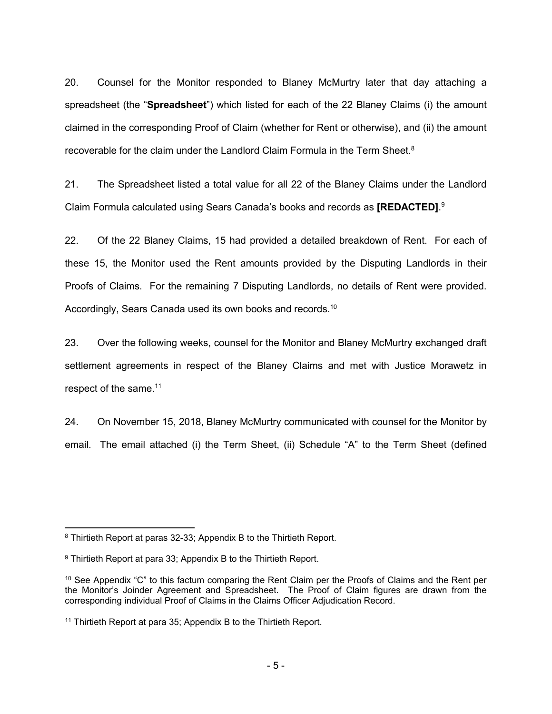20. Counsel for the Monitor responded to Blaney McMurtry later that day attaching a spreadsheet (the "**Spreadsheet**") which listed for each of the 22 Blaney Claims (i) the amount claimed in the corresponding Proof of Claim (whether for Rent or otherwise), and (ii) the amount recoverable for the claim under the Landlord Claim Formula in the Term Sheet.<sup>8</sup>

21. The Spreadsheet listed a total value for all 22 of the Blaney Claims under the Landlord Claim Formula calculated using Sears Canada's books and records as **[REDACTED]**. 9

22. Of the 22 Blaney Claims, 15 had provided a detailed breakdown of Rent. For each of these 15, the Monitor used the Rent amounts provided by the Disputing Landlords in their Proofs of Claims. For the remaining 7 Disputing Landlords, no details of Rent were provided. Accordingly, Sears Canada used its own books and records.<sup>10</sup>

23. Over the following weeks, counsel for the Monitor and Blaney McMurtry exchanged draft settlement agreements in respect of the Blaney Claims and met with Justice Morawetz in respect of the same.<sup>11</sup>

24. On November 15, 2018, Blaney McMurtry communicated with counsel for the Monitor by email. The email attached (i) the Term Sheet, (ii) Schedule "A" to the Term Sheet (defined

<sup>8</sup> Thirtieth Report at paras 32-33; Appendix B to the Thirtieth Report.

<sup>9</sup> Thirtieth Report at para 33; Appendix B to the Thirtieth Report.

<sup>&</sup>lt;sup>10</sup> See Appendix "C" to this factum comparing the Rent Claim per the Proofs of Claims and the Rent per the Monitor's Joinder Agreement and Spreadsheet. The Proof of Claim figures are drawn from the corresponding individual Proof of Claims in the Claims Officer Adjudication Record.

<sup>&</sup>lt;sup>11</sup> Thirtieth Report at para 35; Appendix B to the Thirtieth Report.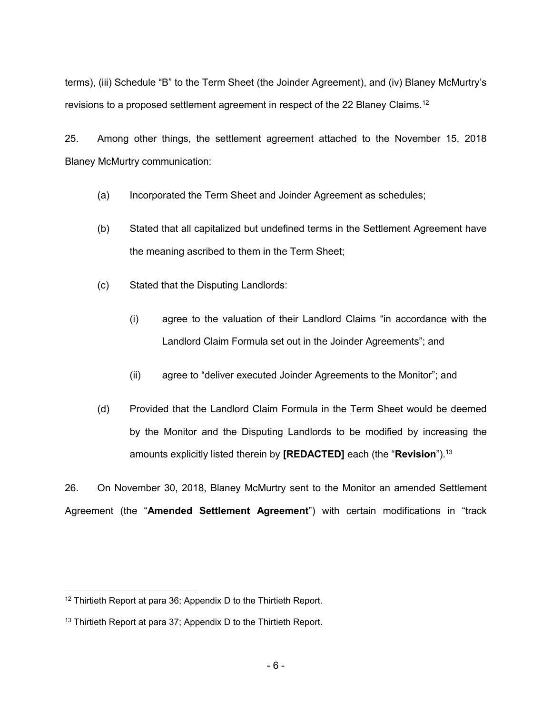terms), (iii) Schedule "B" to the Term Sheet (the Joinder Agreement), and (iv) Blaney McMurtry's revisions to a proposed settlement agreement in respect of the 22 Blaney Claims.<sup>12</sup>

25. Among other things, the settlement agreement attached to the November 15, 2018 Blaney McMurtry communication:

- (a) Incorporated the Term Sheet and Joinder Agreement as schedules;
- (b) Stated that all capitalized but undefined terms in the Settlement Agreement have the meaning ascribed to them in the Term Sheet;
- (c) Stated that the Disputing Landlords:
	- (i) agree to the valuation of their Landlord Claims "in accordance with the Landlord Claim Formula set out in the Joinder Agreements"; and
	- (ii) agree to "deliver executed Joinder Agreements to the Monitor"; and
- (d) Provided that the Landlord Claim Formula in the Term Sheet would be deemed by the Monitor and the Disputing Landlords to be modified by increasing the amounts explicitly listed therein by **[REDACTED]** each (the "**Revision**").<sup>13</sup>

26. On November 30, 2018, Blaney McMurtry sent to the Monitor an amended Settlement Agreement (the "**Amended Settlement Agreement**") with certain modifications in "track

 <sup>12</sup> Thirtieth Report at para 36; Appendix D to the Thirtieth Report.

<sup>&</sup>lt;sup>13</sup> Thirtieth Report at para 37; Appendix D to the Thirtieth Report.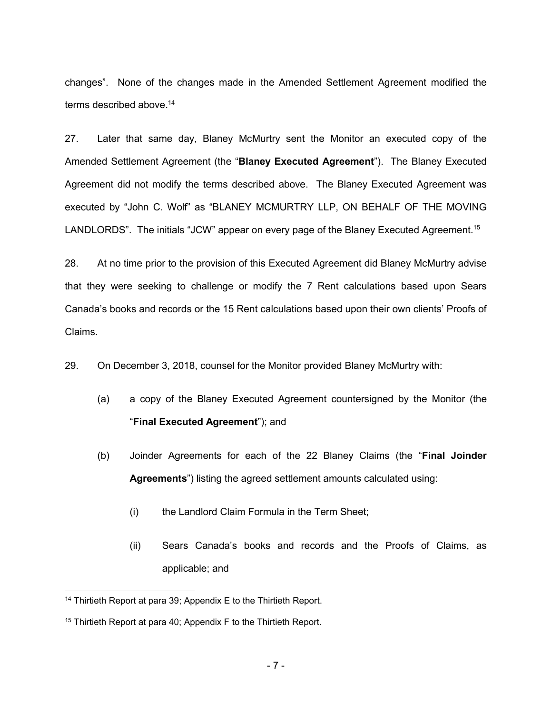changes". None of the changes made in the Amended Settlement Agreement modified the terms described above.<sup>14</sup>

27. Later that same day, Blaney McMurtry sent the Monitor an executed copy of the Amended Settlement Agreement (the "**Blaney Executed Agreement**"). The Blaney Executed Agreement did not modify the terms described above. The Blaney Executed Agreement was executed by "John C. Wolf" as "BLANEY MCMURTRY LLP, ON BEHALF OF THE MOVING LANDLORDS". The initials "JCW" appear on every page of the Blaney Executed Agreement.<sup>15</sup>

28. At no time prior to the provision of this Executed Agreement did Blaney McMurtry advise that they were seeking to challenge or modify the 7 Rent calculations based upon Sears Canada's books and records or the 15 Rent calculations based upon their own clients' Proofs of Claims.

29. On December 3, 2018, counsel for the Monitor provided Blaney McMurtry with:

- (a) a copy of the Blaney Executed Agreement countersigned by the Monitor (the "**Final Executed Agreement**"); and
- (b) Joinder Agreements for each of the 22 Blaney Claims (the "**Final Joinder Agreements**") listing the agreed settlement amounts calculated using:
	- (i) the Landlord Claim Formula in the Term Sheet;
	- (ii) Sears Canada's books and records and the Proofs of Claims, as applicable; and

<sup>&</sup>lt;sup>14</sup> Thirtieth Report at para 39; Appendix E to the Thirtieth Report.

<sup>15</sup> Thirtieth Report at para 40; Appendix F to the Thirtieth Report.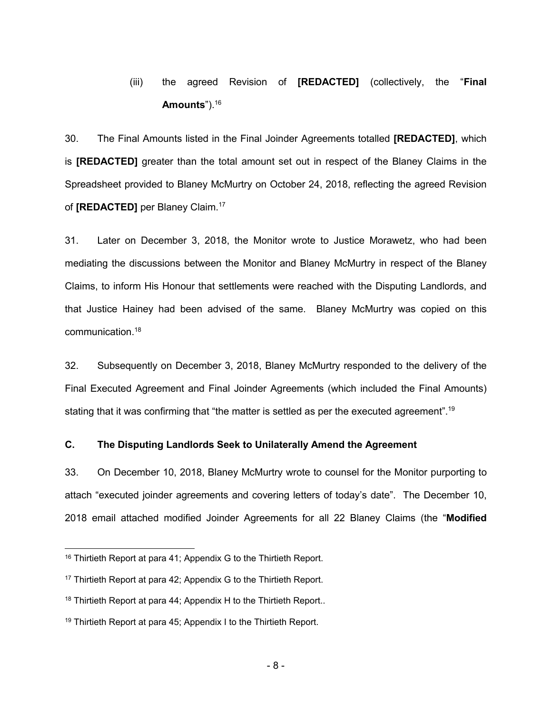# (iii) the agreed Revision of **[REDACTED]** (collectively, the "**Final Amounts**").<sup>16</sup>

30. The Final Amounts listed in the Final Joinder Agreements totalled **[REDACTED]**, which is **[REDACTED]** greater than the total amount set out in respect of the Blaney Claims in the Spreadsheet provided to Blaney McMurtry on October 24, 2018, reflecting the agreed Revision of **[REDACTED]** per Blaney Claim.<sup>17</sup>

31. Later on December 3, 2018, the Monitor wrote to Justice Morawetz, who had been mediating the discussions between the Monitor and Blaney McMurtry in respect of the Blaney Claims, to inform His Honour that settlements were reached with the Disputing Landlords, and that Justice Hainey had been advised of the same. Blaney McMurtry was copied on this communication.<sup>18</sup>

32. Subsequently on December 3, 2018, Blaney McMurtry responded to the delivery of the Final Executed Agreement and Final Joinder Agreements (which included the Final Amounts) stating that it was confirming that "the matter is settled as per the executed agreement".<sup>19</sup>

## **C. The Disputing Landlords Seek to Unilaterally Amend the Agreement**

33. On December 10, 2018, Blaney McMurtry wrote to counsel for the Monitor purporting to attach "executed joinder agreements and covering letters of today's date". The December 10, 2018 email attached modified Joinder Agreements for all 22 Blaney Claims (the "**Modified** 

<sup>&</sup>lt;sup>16</sup> Thirtieth Report at para 41; Appendix G to the Thirtieth Report.

<sup>&</sup>lt;sup>17</sup> Thirtieth Report at para 42; Appendix G to the Thirtieth Report.

<sup>&</sup>lt;sup>18</sup> Thirtieth Report at para 44; Appendix H to the Thirtieth Report..

 $19$  Thirtieth Report at para 45; Appendix I to the Thirtieth Report.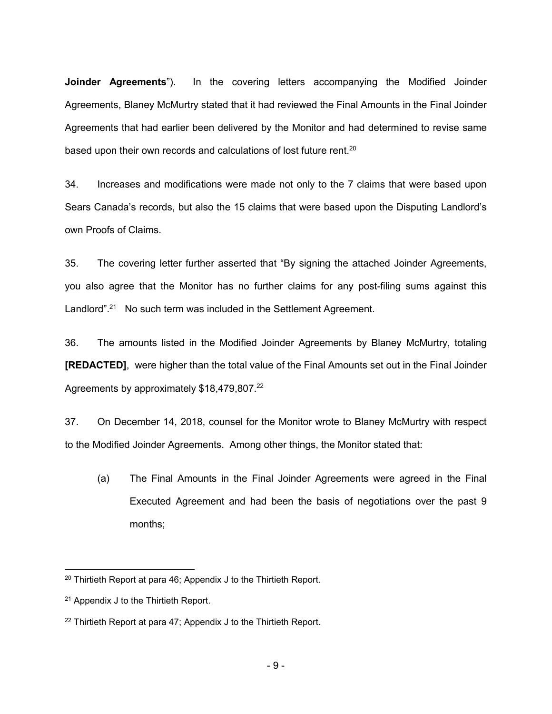**Joinder Agreements**"). In the covering letters accompanying the Modified Joinder Agreements, Blaney McMurtry stated that it had reviewed the Final Amounts in the Final Joinder Agreements that had earlier been delivered by the Monitor and had determined to revise same based upon their own records and calculations of lost future rent. $^{20}$ 

34. Increases and modifications were made not only to the 7 claims that were based upon Sears Canada's records, but also the 15 claims that were based upon the Disputing Landlord's own Proofs of Claims.

35. The covering letter further asserted that "By signing the attached Joinder Agreements, you also agree that the Monitor has no further claims for any post-filing sums against this Landlord".<sup>21</sup> No such term was included in the Settlement Agreement.

36. The amounts listed in the Modified Joinder Agreements by Blaney McMurtry, totaling **[REDACTED]**, were higher than the total value of the Final Amounts set out in the Final Joinder Agreements by approximately \$18,479,807.<sup>22</sup>

37. On December 14, 2018, counsel for the Monitor wrote to Blaney McMurtry with respect to the Modified Joinder Agreements. Among other things, the Monitor stated that:

(a) The Final Amounts in the Final Joinder Agreements were agreed in the Final Executed Agreement and had been the basis of negotiations over the past 9 months;

<sup>20</sup> Thirtieth Report at para 46; Appendix J to the Thirtieth Report.

<sup>21</sup> Appendix J to the Thirtieth Report.

 $22$  Thirtieth Report at para 47; Appendix J to the Thirtieth Report.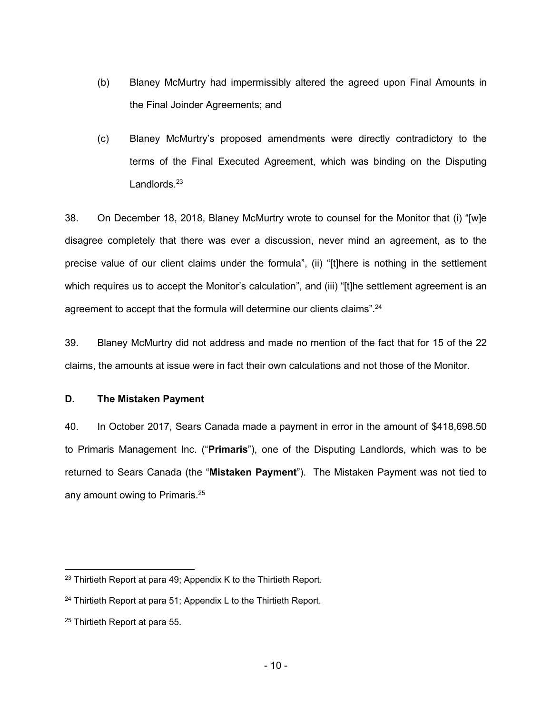- (b) Blaney McMurtry had impermissibly altered the agreed upon Final Amounts in the Final Joinder Agreements; and
- (c) Blaney McMurtry's proposed amendments were directly contradictory to the terms of the Final Executed Agreement, which was binding on the Disputing Landlords.<sup>23</sup>

38. On December 18, 2018, Blaney McMurtry wrote to counsel for the Monitor that (i) "[w]e disagree completely that there was ever a discussion, never mind an agreement, as to the precise value of our client claims under the formula", (ii) "[t]here is nothing in the settlement which requires us to accept the Monitor's calculation", and (iii) "[t]he settlement agreement is an agreement to accept that the formula will determine our clients claims".<sup>24</sup>

39. Blaney McMurtry did not address and made no mention of the fact that for 15 of the 22 claims, the amounts at issue were in fact their own calculations and not those of the Monitor.

## **D. The Mistaken Payment**

40. In October 2017, Sears Canada made a payment in error in the amount of \$418,698.50 to Primaris Management Inc. ("**Primaris**"), one of the Disputing Landlords, which was to be returned to Sears Canada (the "**Mistaken Payment**"). The Mistaken Payment was not tied to any amount owing to Primaris. 25

 $23$  Thirtieth Report at para 49; Appendix K to the Thirtieth Report.

 $24$  Thirtieth Report at para 51; Appendix L to the Thirtieth Report.

<sup>25</sup> Thirtieth Report at para 55.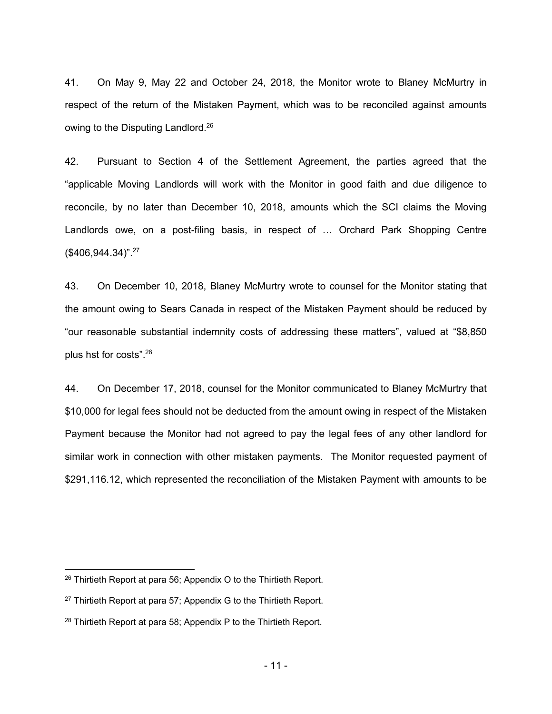41. On May 9, May 22 and October 24, 2018, the Monitor wrote to Blaney McMurtry in respect of the return of the Mistaken Payment, which was to be reconciled against amounts owing to the Disputing Landlord.<sup>26</sup>

42. Pursuant to Section 4 of the Settlement Agreement, the parties agreed that the "applicable Moving Landlords will work with the Monitor in good faith and due diligence to reconcile, by no later than December 10, 2018, amounts which the SCI claims the Moving Landlords owe, on a post-filing basis, in respect of … Orchard Park Shopping Centre (\$406,944.34)".<sup>27</sup>

43. On December 10, 2018, Blaney McMurtry wrote to counsel for the Monitor stating that the amount owing to Sears Canada in respect of the Mistaken Payment should be reduced by "our reasonable substantial indemnity costs of addressing these matters", valued at "\$8,850 plus hst for costs".<sup>28</sup>

44. On December 17, 2018, counsel for the Monitor communicated to Blaney McMurtry that \$10,000 for legal fees should not be deducted from the amount owing in respect of the Mistaken Payment because the Monitor had not agreed to pay the legal fees of any other landlord for similar work in connection with other mistaken payments. The Monitor requested payment of \$291,116.12, which represented the reconciliation of the Mistaken Payment with amounts to be

<sup>26</sup> Thirtieth Report at para 56; Appendix O to the Thirtieth Report.

 $27$  Thirtieth Report at para 57; Appendix G to the Thirtieth Report.

<sup>&</sup>lt;sup>28</sup> Thirtieth Report at para 58; Appendix P to the Thirtieth Report.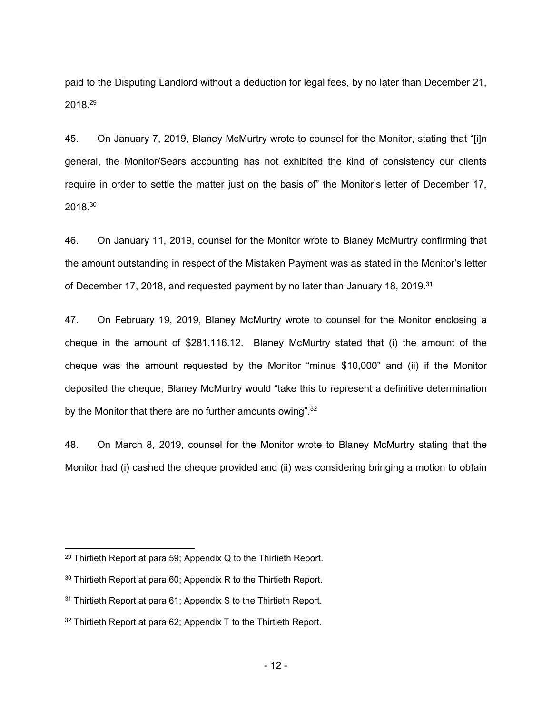paid to the Disputing Landlord without a deduction for legal fees, by no later than December 21, 2018.<sup>29</sup>

45. On January 7, 2019, Blaney McMurtry wrote to counsel for the Monitor, stating that "[i]n general, the Monitor/Sears accounting has not exhibited the kind of consistency our clients require in order to settle the matter just on the basis of" the Monitor's letter of December 17, 2018.<sup>30</sup>

46. On January 11, 2019, counsel for the Monitor wrote to Blaney McMurtry confirming that the amount outstanding in respect of the Mistaken Payment was as stated in the Monitor's letter of December 17, 2018, and requested payment by no later than January 18, 2019.<sup>31</sup>

47. On February 19, 2019, Blaney McMurtry wrote to counsel for the Monitor enclosing a cheque in the amount of \$281,116.12. Blaney McMurtry stated that (i) the amount of the cheque was the amount requested by the Monitor "minus \$10,000" and (ii) if the Monitor deposited the cheque, Blaney McMurtry would "take this to represent a definitive determination by the Monitor that there are no further amounts owing". $32$ 

48. On March 8, 2019, counsel for the Monitor wrote to Blaney McMurtry stating that the Monitor had (i) cashed the cheque provided and (ii) was considering bringing a motion to obtain

 $29$  Thirtieth Report at para 59; Appendix Q to the Thirtieth Report.

<sup>&</sup>lt;sup>30</sup> Thirtieth Report at para 60; Appendix R to the Thirtieth Report.

<sup>&</sup>lt;sup>31</sup> Thirtieth Report at para 61; Appendix S to the Thirtieth Report.

 $32$  Thirtieth Report at para 62; Appendix T to the Thirtieth Report.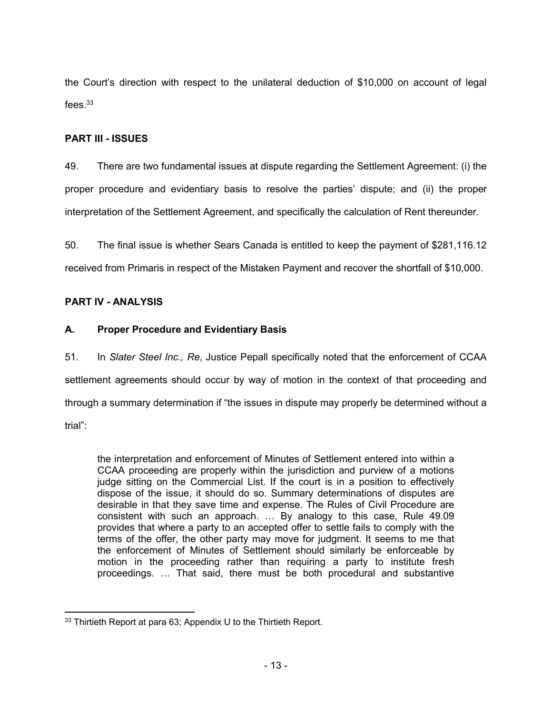the Court's direction with respect to the unilateral deduction of \$10,000 on account of legal fees $^{33}$ 

## **PART III - ISSUES**

49. There are two fundamental issues at dispute regarding the Settlement Agreement: (i) the proper procedure and evidentiary basis to resolve the parties' dispute; and (ii) the proper interpretation of the Settlement Agreement, and specifically the calculation of Rent thereunder.

50. The final issue is whether Sears Canada is entitled to keep the payment of \$281,116.12 received from Primaris in respect of the Mistaken Payment and recover the shortfall of \$10,000.

## **PART IV - ANALYSIS**

## **A. Proper Procedure and Evidentiary Basis**

51. In *Slater Steel Inc., Re*, Justice Pepall specifically noted that the enforcement of CCAA settlement agreements should occur by way of motion in the context of that proceeding and through a summary determination if "the issues in dispute may properly be determined without a trial":

the interpretation and enforcement of Minutes of Settlement entered into within a CCAA proceeding are properly within the jurisdiction and purview of a motions judge sitting on the Commercial List. If the court is in a position to effectively dispose of the issue, it should do so. Summary determinations of disputes are desirable in that they save time and expense. The Rules of Civil Procedure are consistent with such an approach. … By analogy to this case, Rule 49.09 provides that where a party to an accepted offer to settle fails to comply with the terms of the offer, the other party may move for judgment. It seems to me that the enforcement of Minutes of Settlement should similarly be enforceable by motion in the proceeding rather than requiring a party to institute fresh proceedings. … That said, there must be both procedural and substantive

 $\overline{a}$ 33 Thirtieth Report at para 63; Appendix U to the Thirtieth Report.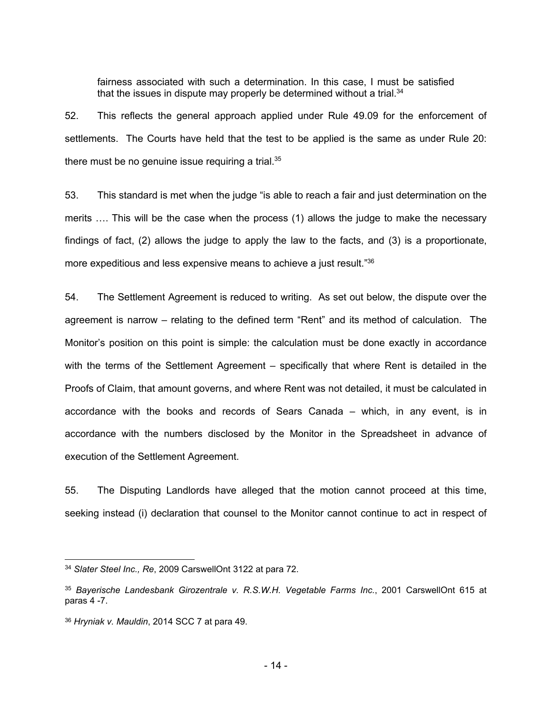fairness associated with such a determination. In this case, I must be satisfied that the issues in dispute may properly be determined without a trial. $34$ 

52. This reflects the general approach applied under Rule 49.09 for the enforcement of settlements. The Courts have held that the test to be applied is the same as under Rule 20: there must be no genuine issue requiring a trial. $35$ 

53. This standard is met when the judge "is able to reach a fair and just determination on the merits …. This will be the case when the process (1) allows the judge to make the necessary findings of fact, (2) allows the judge to apply the law to the facts, and (3) is a proportionate, more expeditious and less expensive means to achieve a just result."<sup>36</sup>

54. The Settlement Agreement is reduced to writing. As set out below, the dispute over the agreement is narrow – relating to the defined term "Rent" and its method of calculation. The Monitor's position on this point is simple: the calculation must be done exactly in accordance with the terms of the Settlement Agreement – specifically that where Rent is detailed in the Proofs of Claim, that amount governs, and where Rent was not detailed, it must be calculated in accordance with the books and records of Sears Canada – which, in any event, is in accordance with the numbers disclosed by the Monitor in the Spreadsheet in advance of execution of the Settlement Agreement.

55. The Disputing Landlords have alleged that the motion cannot proceed at this time, seeking instead (i) declaration that counsel to the Monitor cannot continue to act in respect of

<sup>34</sup> *Slater Steel Inc., Re*, 2009 CarswellOnt 3122 at para 72.

<sup>35</sup> *Bayerische Landesbank Girozentrale v. R.S.W.H. Vegetable Farms Inc.*, 2001 CarswellOnt 615 at paras 4 -7.

<sup>36</sup> *Hryniak v. Mauldin*, 2014 SCC 7 at para 49.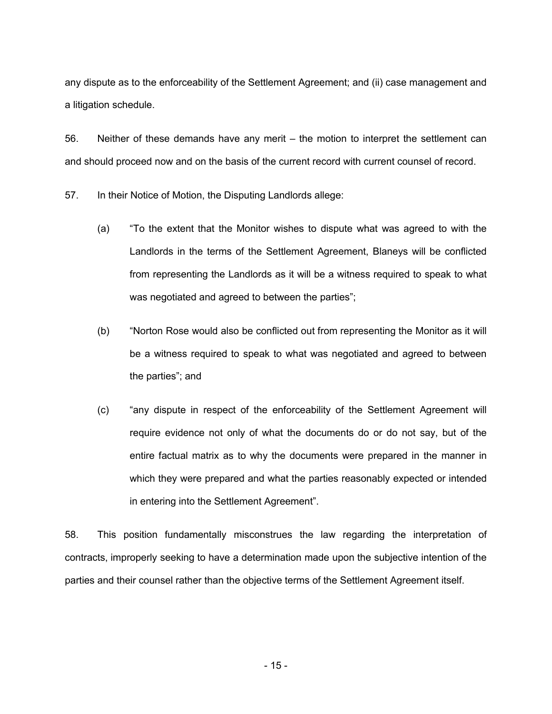any dispute as to the enforceability of the Settlement Agreement; and (ii) case management and a litigation schedule.

56. Neither of these demands have any merit – the motion to interpret the settlement can and should proceed now and on the basis of the current record with current counsel of record.

57. In their Notice of Motion, the Disputing Landlords allege:

- (a) "To the extent that the Monitor wishes to dispute what was agreed to with the Landlords in the terms of the Settlement Agreement, Blaneys will be conflicted from representing the Landlords as it will be a witness required to speak to what was negotiated and agreed to between the parties";
- (b) "Norton Rose would also be conflicted out from representing the Monitor as it will be a witness required to speak to what was negotiated and agreed to between the parties"; and
- (c) "any dispute in respect of the enforceability of the Settlement Agreement will require evidence not only of what the documents do or do not say, but of the entire factual matrix as to why the documents were prepared in the manner in which they were prepared and what the parties reasonably expected or intended in entering into the Settlement Agreement".

58. This position fundamentally misconstrues the law regarding the interpretation of contracts, improperly seeking to have a determination made upon the subjective intention of the parties and their counsel rather than the objective terms of the Settlement Agreement itself.

- 15 -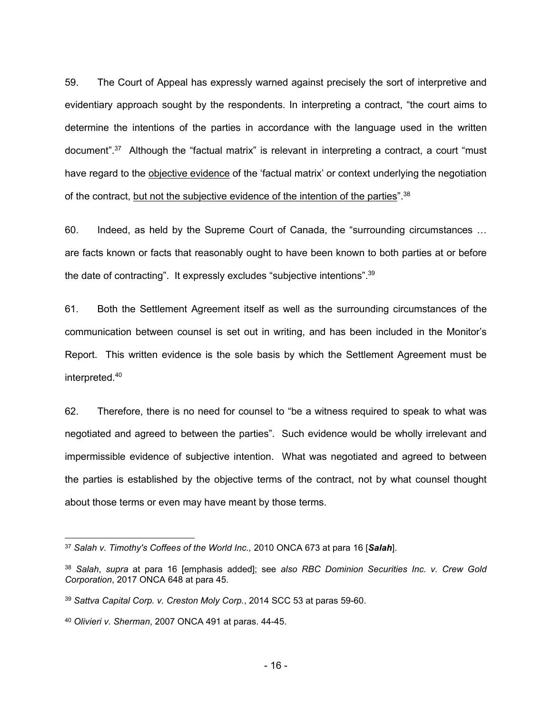59. The Court of Appeal has expressly warned against precisely the sort of interpretive and evidentiary approach sought by the respondents. In interpreting a contract, "the court aims to determine the intentions of the parties in accordance with the language used in the written document".<sup>37</sup> Although the "factual matrix" is relevant in interpreting a contract, a court "must have regard to the objective evidence of the 'factual matrix' or context underlying the negotiation of the contract, but not the subjective evidence of the intention of the parties".<sup>38</sup>

60. Indeed, as held by the Supreme Court of Canada, the "surrounding circumstances … are facts known or facts that reasonably ought to have been known to both parties at or before the date of contracting". It expressly excludes "subjective intentions".<sup>39</sup>

61. Both the Settlement Agreement itself as well as the surrounding circumstances of the communication between counsel is set out in writing, and has been included in the Monitor's Report. This written evidence is the sole basis by which the Settlement Agreement must be interpreted.<sup>40</sup>

62. Therefore, there is no need for counsel to "be a witness required to speak to what was negotiated and agreed to between the parties". Such evidence would be wholly irrelevant and impermissible evidence of subjective intention. What was negotiated and agreed to between the parties is established by the objective terms of the contract, not by what counsel thought about those terms or even may have meant by those terms.

<sup>37</sup> *Salah v. Timothy's Coffees of the World Inc.,* 2010 ONCA 673 at para 16 [*Salah*].

<sup>38</sup> *Salah*, *supra* at para 16 [emphasis added]; see *also RBC Dominion Securities Inc. v. Crew Gold Corporation*, 2017 ONCA 648 at para 45.

<sup>39</sup> *Sattva Capital Corp. v. Creston Moly Corp.*, 2014 SCC 53 at paras 59-60.

<sup>40</sup> *Olivieri v. Sherman*, 2007 ONCA 491 at paras. 44-45.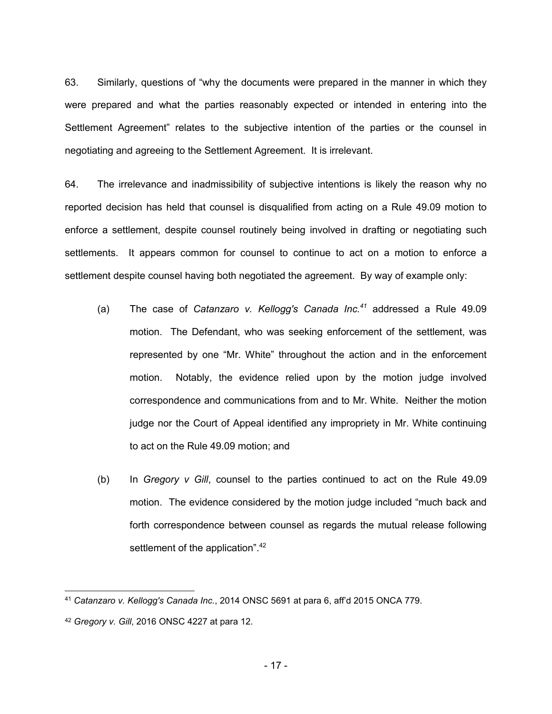63. Similarly, questions of "why the documents were prepared in the manner in which they were prepared and what the parties reasonably expected or intended in entering into the Settlement Agreement" relates to the subjective intention of the parties or the counsel in negotiating and agreeing to the Settlement Agreement. It is irrelevant.

64. The irrelevance and inadmissibility of subjective intentions is likely the reason why no reported decision has held that counsel is disqualified from acting on a Rule 49.09 motion to enforce a settlement, despite counsel routinely being involved in drafting or negotiating such settlements. It appears common for counsel to continue to act on a motion to enforce a settlement despite counsel having both negotiated the agreement. By way of example only:

- (a) The case of *Catanzaro v. Kellogg's Canada Inc.<sup>41</sup>* addressed a Rule 49.09 motion. The Defendant, who was seeking enforcement of the settlement, was represented by one "Mr. White" throughout the action and in the enforcement motion. Notably, the evidence relied upon by the motion judge involved correspondence and communications from and to Mr. White. Neither the motion judge nor the Court of Appeal identified any impropriety in Mr. White continuing to act on the Rule 49.09 motion; and
- (b) In *Gregory v Gill*, counsel to the parties continued to act on the Rule 49.09 motion. The evidence considered by the motion judge included "much back and forth correspondence between counsel as regards the mutual release following settlement of the application".<sup>42</sup>

<sup>41</sup> *Catanzaro v. Kellogg's Canada Inc.*, 2014 ONSC 5691 at para 6, aff'd 2015 ONCA 779.

<sup>42</sup> *Gregory v. Gill*, 2016 ONSC 4227 at para 12.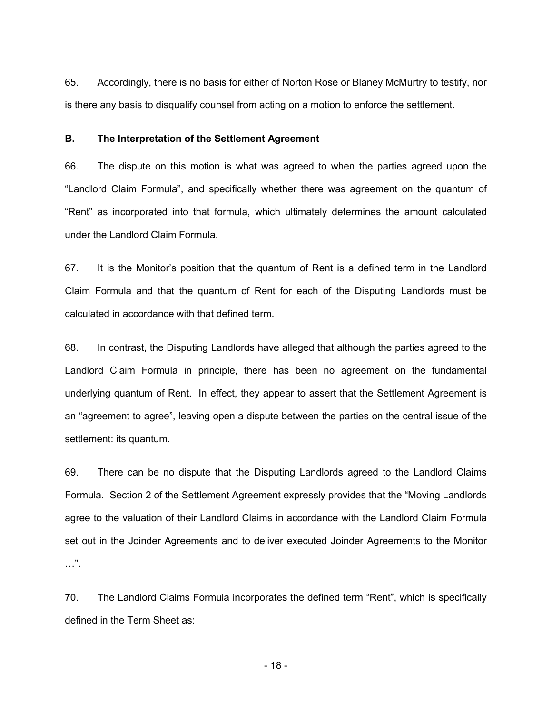65. Accordingly, there is no basis for either of Norton Rose or Blaney McMurtry to testify, nor is there any basis to disqualify counsel from acting on a motion to enforce the settlement.

## **B. The Interpretation of the Settlement Agreement**

66. The dispute on this motion is what was agreed to when the parties agreed upon the "Landlord Claim Formula", and specifically whether there was agreement on the quantum of "Rent" as incorporated into that formula, which ultimately determines the amount calculated under the Landlord Claim Formula.

67. It is the Monitor's position that the quantum of Rent is a defined term in the Landlord Claim Formula and that the quantum of Rent for each of the Disputing Landlords must be calculated in accordance with that defined term.

68. In contrast, the Disputing Landlords have alleged that although the parties agreed to the Landlord Claim Formula in principle, there has been no agreement on the fundamental underlying quantum of Rent. In effect, they appear to assert that the Settlement Agreement is an "agreement to agree", leaving open a dispute between the parties on the central issue of the settlement: its quantum.

69. There can be no dispute that the Disputing Landlords agreed to the Landlord Claims Formula. Section 2 of the Settlement Agreement expressly provides that the "Moving Landlords agree to the valuation of their Landlord Claims in accordance with the Landlord Claim Formula set out in the Joinder Agreements and to deliver executed Joinder Agreements to the Monitor …".

70. The Landlord Claims Formula incorporates the defined term "Rent", which is specifically defined in the Term Sheet as:

- 18 -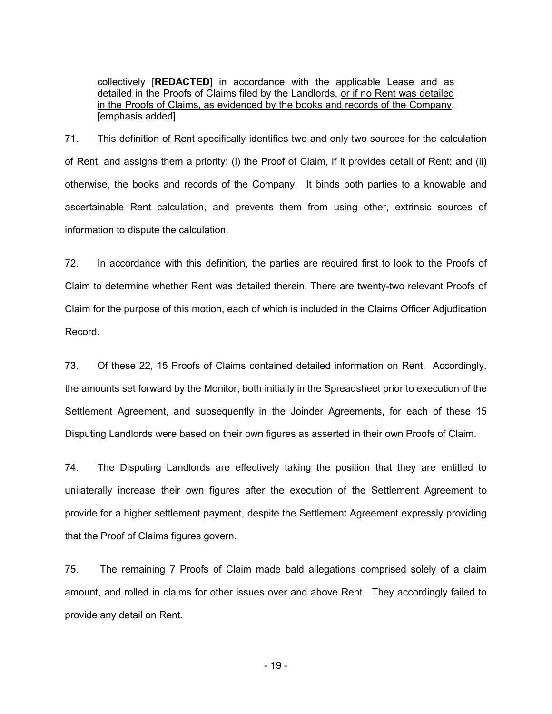collectively [**REDACTED**] in accordance with the applicable Lease and as detailed in the Proofs of Claims filed by the Landlords, or if no Rent was detailed in the Proofs of Claims, as evidenced by the books and records of the Company. [emphasis added]

71. This definition of Rent specifically identifies two and only two sources for the calculation of Rent, and assigns them a priority: (i) the Proof of Claim, if it provides detail of Rent; and (ii) otherwise, the books and records of the Company. It binds both parties to a knowable and ascertainable Rent calculation, and prevents them from using other, extrinsic sources of information to dispute the calculation.

72. In accordance with this definition, the parties are required first to look to the Proofs of Claim to determine whether Rent was detailed therein. There are twenty-two relevant Proofs of Claim for the purpose of this motion, each of which is included in the Claims Officer Adjudication Record.

73. Of these 22, 15 Proofs of Claims contained detailed information on Rent. Accordingly, the amounts set forward by the Monitor, both initially in the Spreadsheet prior to execution of the Settlement Agreement, and subsequently in the Joinder Agreements, for each of these 15 Disputing Landlords were based on their own figures as asserted in their own Proofs of Claim.

74. The Disputing Landlords are effectively taking the position that they are entitled to unilaterally increase their own figures after the execution of the Settlement Agreement to provide for a higher settlement payment, despite the Settlement Agreement expressly providing that the Proof of Claims figures govern.

75. The remaining 7 Proofs of Claim made bald allegations comprised solely of a claim amount, and rolled in claims for other issues over and above Rent. They accordingly failed to provide any detail on Rent.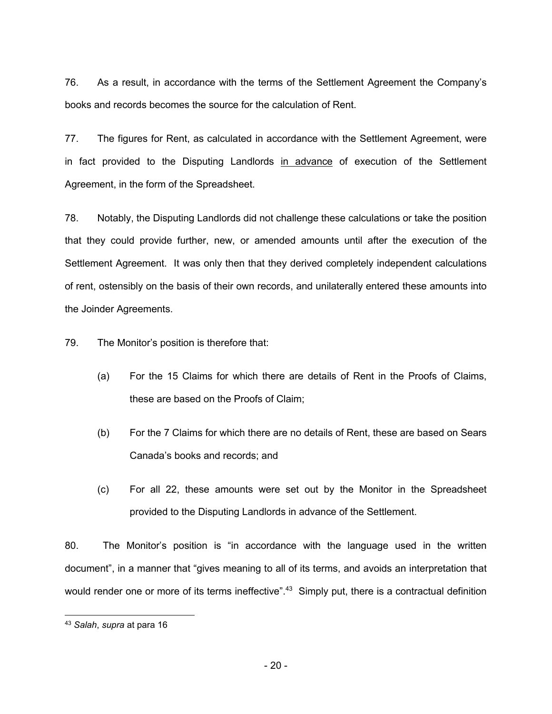76. As a result, in accordance with the terms of the Settlement Agreement the Company's books and records becomes the source for the calculation of Rent.

77. The figures for Rent, as calculated in accordance with the Settlement Agreement, were in fact provided to the Disputing Landlords in advance of execution of the Settlement Agreement, in the form of the Spreadsheet.

78. Notably, the Disputing Landlords did not challenge these calculations or take the position that they could provide further, new, or amended amounts until after the execution of the Settlement Agreement. It was only then that they derived completely independent calculations of rent, ostensibly on the basis of their own records, and unilaterally entered these amounts into the Joinder Agreements.

79. The Monitor's position is therefore that:

- (a) For the 15 Claims for which there are details of Rent in the Proofs of Claims, these are based on the Proofs of Claim;
- (b) For the 7 Claims for which there are no details of Rent, these are based on Sears Canada's books and records; and
- (c) For all 22, these amounts were set out by the Monitor in the Spreadsheet provided to the Disputing Landlords in advance of the Settlement.

80. The Monitor's position is "in accordance with the language used in the written document", in a manner that "gives meaning to all of its terms, and avoids an interpretation that would render one or more of its terms ineffective".<sup>43</sup> Simply put, there is a contractual definition

<sup>43</sup> *Salah*, *supra* at para 16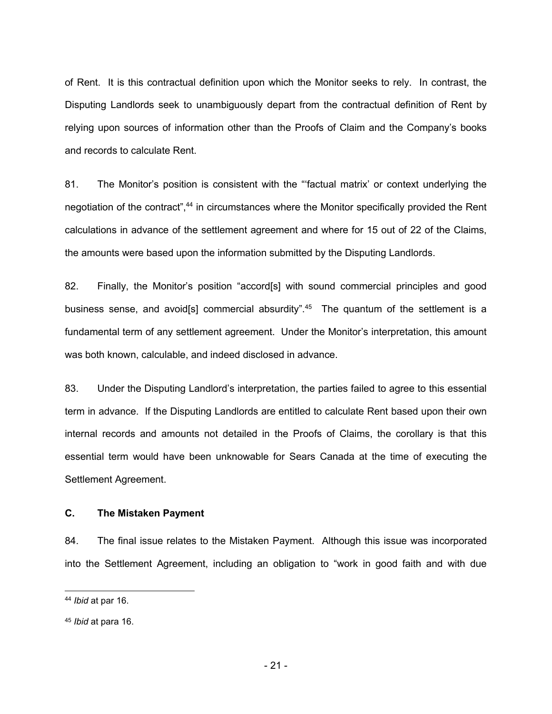of Rent. It is this contractual definition upon which the Monitor seeks to rely. In contrast, the Disputing Landlords seek to unambiguously depart from the contractual definition of Rent by relying upon sources of information other than the Proofs of Claim and the Company's books and records to calculate Rent.

81. The Monitor's position is consistent with the "'factual matrix' or context underlying the negotiation of the contract",<sup>44</sup> in circumstances where the Monitor specifically provided the Rent calculations in advance of the settlement agreement and where for 15 out of 22 of the Claims, the amounts were based upon the information submitted by the Disputing Landlords.

82. Finally, the Monitor's position "accord[s] with sound commercial principles and good business sense, and avoid[s] commercial absurdity".<sup>45</sup> The quantum of the settlement is a fundamental term of any settlement agreement. Under the Monitor's interpretation, this amount was both known, calculable, and indeed disclosed in advance.

83. Under the Disputing Landlord's interpretation, the parties failed to agree to this essential term in advance. If the Disputing Landlords are entitled to calculate Rent based upon their own internal records and amounts not detailed in the Proofs of Claims, the corollary is that this essential term would have been unknowable for Sears Canada at the time of executing the Settlement Agreement.

### **C. The Mistaken Payment**

84. The final issue relates to the Mistaken Payment. Although this issue was incorporated into the Settlement Agreement, including an obligation to "work in good faith and with due

<sup>44</sup> *Ibid* at par 16.

<sup>45</sup> *Ibid* at para 16.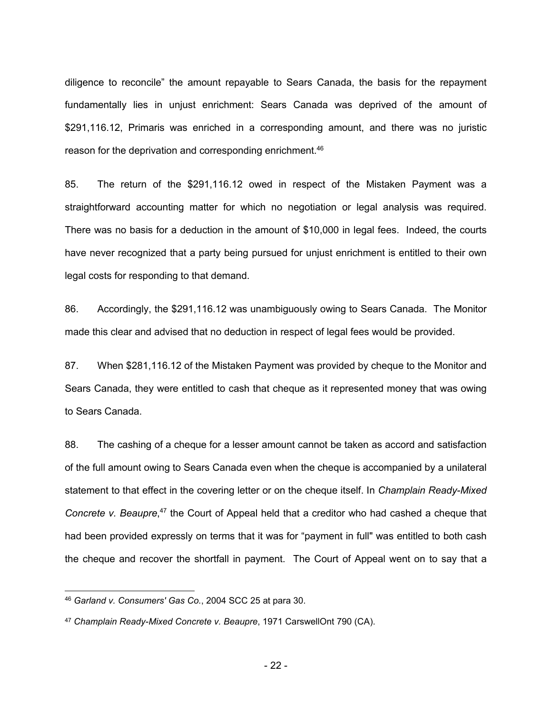diligence to reconcile" the amount repayable to Sears Canada, the basis for the repayment fundamentally lies in unjust enrichment: Sears Canada was deprived of the amount of \$291,116.12, Primaris was enriched in a corresponding amount, and there was no juristic reason for the deprivation and corresponding enrichment.<sup>46</sup>

85. The return of the \$291,116.12 owed in respect of the Mistaken Payment was a straightforward accounting matter for which no negotiation or legal analysis was required. There was no basis for a deduction in the amount of \$10,000 in legal fees. Indeed, the courts have never recognized that a party being pursued for unjust enrichment is entitled to their own legal costs for responding to that demand.

86. Accordingly, the \$291,116.12 was unambiguously owing to Sears Canada. The Monitor made this clear and advised that no deduction in respect of legal fees would be provided.

87. When \$281,116.12 of the Mistaken Payment was provided by cheque to the Monitor and Sears Canada, they were entitled to cash that cheque as it represented money that was owing to Sears Canada.

88. The cashing of a cheque for a lesser amount cannot be taken as accord and satisfaction of the full amount owing to Sears Canada even when the cheque is accompanied by a unilateral statement to that effect in the covering letter or on the cheque itself. In *Champlain Ready-Mixed*  Concrete v. Beaupre,<sup>47</sup> the Court of Appeal held that a creditor who had cashed a cheque that had been provided expressly on terms that it was for "payment in full" was entitled to both cash the cheque and recover the shortfall in payment. The Court of Appeal went on to say that a

<sup>46</sup> *Garland v. Consumers' Gas Co.*, 2004 SCC 25 at para 30.

<sup>47</sup> *Champlain Ready-Mixed Concrete v. Beaupre*, 1971 CarswellOnt 790 (CA).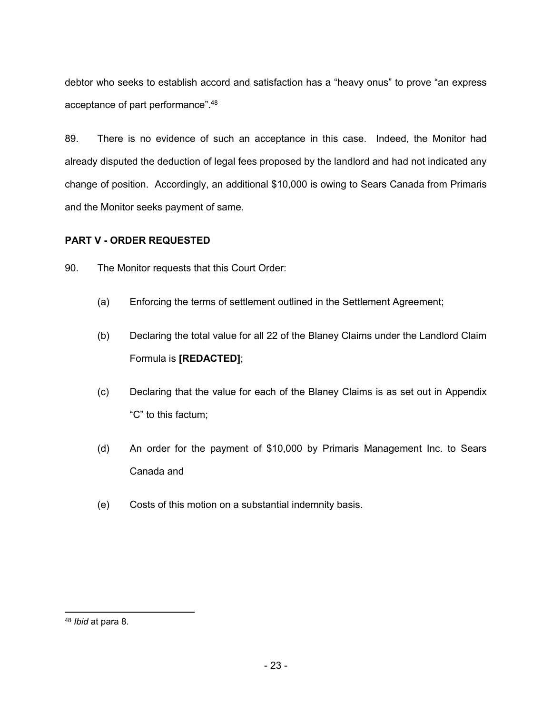debtor who seeks to establish accord and satisfaction has a "heavy onus" to prove "an express acceptance of part performance".<sup>48</sup>

89. There is no evidence of such an acceptance in this case. Indeed, the Monitor had already disputed the deduction of legal fees proposed by the landlord and had not indicated any change of position. Accordingly, an additional \$10,000 is owing to Sears Canada from Primaris and the Monitor seeks payment of same.

## **PART V - ORDER REQUESTED**

90. The Monitor requests that this Court Order:

- (a) Enforcing the terms of settlement outlined in the Settlement Agreement;
- (b) Declaring the total value for all 22 of the Blaney Claims under the Landlord Claim Formula is **[REDACTED]**;
- (c) Declaring that the value for each of the Blaney Claims is as set out in Appendix "C" to this factum;
- (d) An order for the payment of \$10,000 by Primaris Management Inc. to Sears Canada and
- (e) Costs of this motion on a substantial indemnity basis.

<sup>48</sup> *Ibid* at para 8.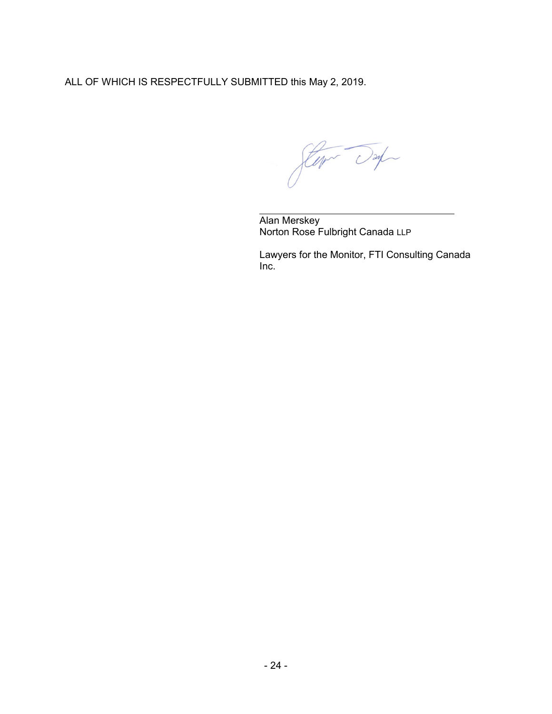ALL OF WHICH IS RESPECTFULLY SUBMITTED this May 2, 2019.

Stern Day

Alan Merskey Norton Rose Fulbright Canada LLP

Lawyers for the Monitor, FTI Consulting Canada Inc.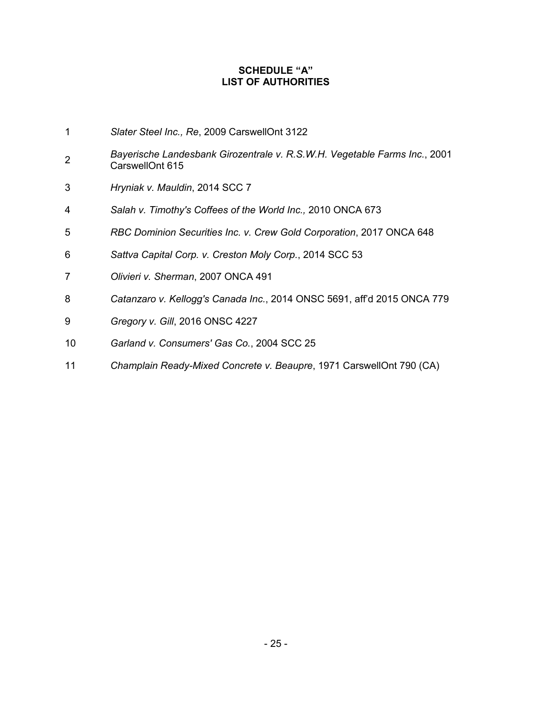## **SCHEDULE "A" LIST OF AUTHORITIES**

- *Slater Steel Inc., Re*, 2009 CarswellOnt 3122
- *Bayerische Landesbank Girozentrale v. R.S.W.H. Vegetable Farms Inc.*, 2001 CarswellOnt 615
- *Hryniak v. Mauldin*, 2014 SCC 7
- *Salah v. Timothy's Coffees of the World Inc.,* 2010 ONCA 673
- *RBC Dominion Securities Inc. v. Crew Gold Corporation*, 2017 ONCA 648
- *Sattva Capital Corp. v. Creston Moly Corp.*, 2014 SCC 53
- *Olivieri v. Sherman*, 2007 ONCA 491
- *Catanzaro v. Kellogg's Canada Inc.*, 2014 ONSC 5691, aff'd 2015 ONCA 779
- *Gregory v. Gill*, 2016 ONSC 4227
- *Garland v. Consumers' Gas Co.*, 2004 SCC 25
- *Champlain Ready-Mixed Concrete v. Beaupre*, 1971 CarswellOnt 790 (CA)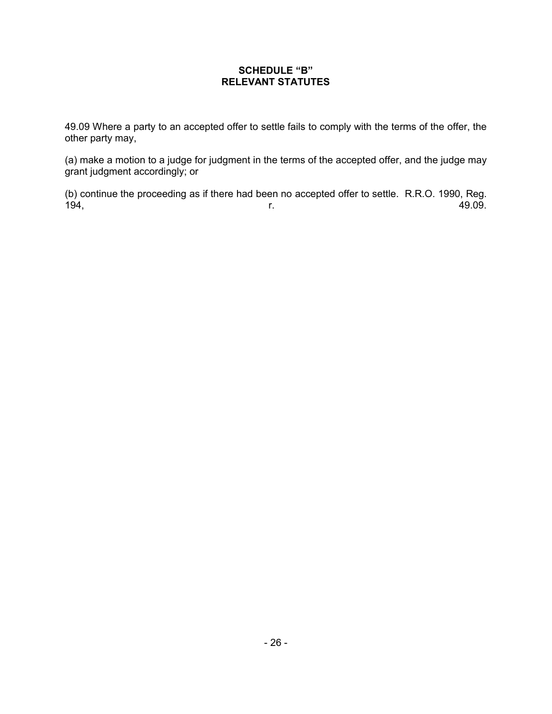## **SCHEDULE "B" RELEVANT STATUTES**

49.09 Where a party to an accepted offer to settle fails to comply with the terms of the offer, the other party may,

(a) make a motion to a judge for judgment in the terms of the accepted offer, and the judge may grant judgment accordingly; or

(b) continue the proceeding as if there had been no accepted offer to settle. R.R.O. 1990, Reg. 194, r. 49.09.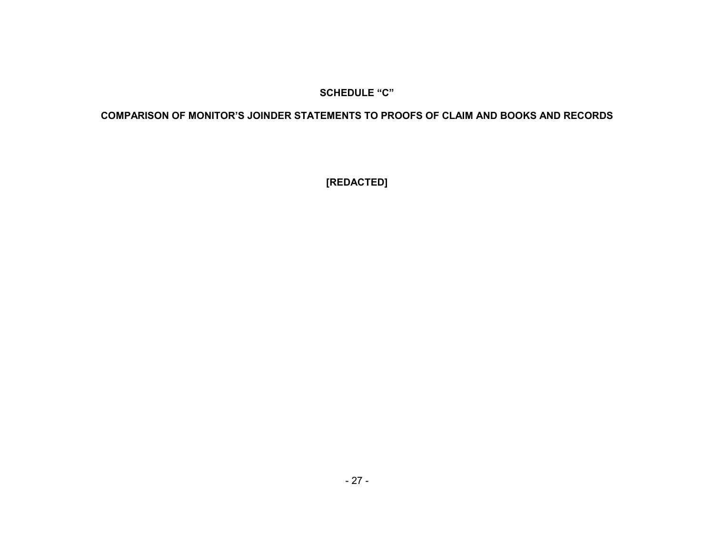## **SCHEDULE "C"**

# **COMPARISON OF MONITOR'S JOINDER STATEMENTS TO PROOFS OF CLAIM AND BOOKS AND RECORDS**

**[REDACTED]**